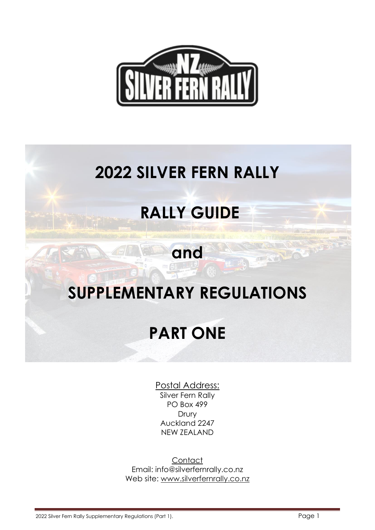

## **2022 SILVER FERN RALLY**

## **RALLY GUIDE**

# **and**

### **SUPPLEMENTARY REGULATIONS**

### **PART ONE**

Postal Address:

Silver Fern Rally PO Box 499 Drury Auckland 2247 NEW ZEALAND

**Contact** Email: [info@silverfernrally.co.nz](file:///G:/SF%20Rally-Targa/Transfer%20Files/2014%20SF%20RALLY/AppData/Local/Microsoft/Windows/AppData/Local/Microsoft/Windows/Temporary%20Internet%20Files/Content.Outlook/AppData/Local/Microsoft/Windows/Temporary%20Internet%20Files/AppData/Local/Microsoft/Windows/Temporary%20Internet%20Files/Content.Outlook/AppData/Local/Microsoft/Windows/Temporary%20Internet%20Files/AppData/Local/Microsoft/Windows/Temporary%20Internet%20Files/Local%20Settings/Temporary%20Internet%20Files/Content.IE5/Local%20Settings/Local%20Settings/Temporary%20Internet%20Files/Documents%20and%20Settings/Paul/Owner/Local%20Settings/Local%20Settings/Temporary%20Internet%20Files/OLK2A/martin@drewbullen.co.nz) Web site: [www.silverfernrally.co.nz](file:///G:/SF%20Rally-Targa/Transfer%20Files/2014%20SF%20RALLY/AppData/Local/Microsoft/Windows/AppData/Local/Microsoft/Windows/Temporary%20Internet%20Files/Content.Outlook/AppData/Local/Microsoft/Windows/Temporary%20Internet%20Files/AppData/Local/Microsoft/Windows/Temporary%20Internet%20Files/Content.Outlook/AppData/Local/Microsoft/Windows/Temporary%20Internet%20Files/AppData/Local/Microsoft/Windows/Temporary%20Internet%20Files/Local%20Settings/Temporary%20Internet%20Files/Content.IE5/Local%20Settings/Local%20Settings/Temporary%20Internet%20Files/Documents%20and%20Settings/Paul/Owner/Local%20Settings/Local%20Settings/Temporary%20Internet%20Files/OLK2A/www.rallyrotorua.co.nz)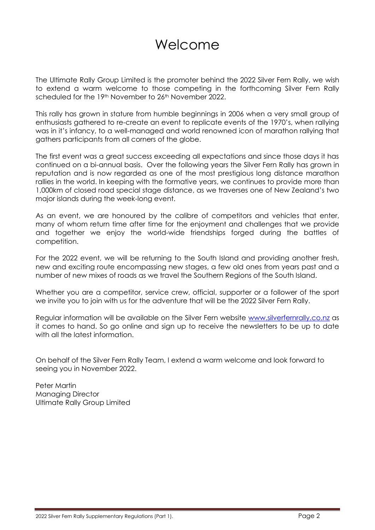### Welcome

The Ultimate Rally Group Limited is the promoter behind the 2022 Silver Fern Rally, we wish to extend a warm welcome to those competing in the forthcoming Silver Fern Rally scheduled for the 19<sup>th</sup> November to 26<sup>th</sup> November 2022.

This rally has grown in stature from humble beginnings in 2006 when a very small group of enthusiasts gathered to re-create an event to replicate events of the 1970's, when rallying was in it's infancy, to a well-managed and world renowned icon of marathon rallying that gathers participants from all corners of the globe.

The first event was a great success exceeding all expectations and since those days it has continued on a bi-annual basis. Over the following years the Silver Fern Rally has grown in reputation and is now regarded as one of the most prestigious long distance marathon rallies in the world. In keeping with the formative years, we continues to provide more than 1,000km of closed road special stage distance, as we traverses one of New Zealand's two major islands during the week-long event.

As an event, we are honoured by the calibre of competitors and vehicles that enter, many of whom return time after time for the enjoyment and challenges that we provide and together we enjoy the world-wide friendships forged during the battles of competition.

For the 2022 event, we will be returning to the South Island and providing another fresh, new and exciting route encompassing new stages, a few old ones from years past and a number of new mixes of roads as we travel the Southern Regions of the South Island.

Whether you are a competitor, service crew, official, supporter or a follower of the sport we invite you to join with us for the adventure that will be the 2022 Silver Fern Rally.

Regular information will be available on the Silver Fern website [www.silverfernrally.co.nz](http://www.silverfernrally.co.nz/) as it comes to hand. So go online and sign up to receive the newsletters to be up to date with all the latest information.

On behalf of the Silver Fern Rally Team, I extend a warm welcome and look forward to seeing you in November 2022.

Peter Martin Managing Director Ultimate Rally Group Limited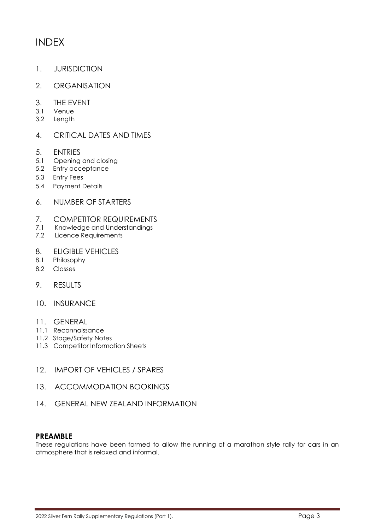### INDEX

- 1. JURISDICTION
- 2. ORGANISATION
- 3. THE EVENT
- 3.1 Venue
- 3.2 Length

#### 4. CRITICAL DATES AND TIMES

- 5. ENTRIES
- 5.1 Opening and closing
- 5.2 Entry acceptance
- 5.3 Entry Fees
- 5.4 Payment Details
- 6. NUMBER OF STARTERS
- 7. COMPETITOR REQUIREMENTS
- 7.1 Knowledge and Understandings
- 7.2 Licence Requirements
- 8. ELIGIBLE VEHICLES
- 8.1 Philosophy
- 8.2 Classes
- 9. RESULTS
- 10. INSURANCE
- 11. GENERAL
- 11.1 Reconnaissance
- 11.2 Stage/Safety Notes
- 11.3 Competitor Information Sheets
- 12. IMPORT OF VEHICLES / SPARES
- 13. ACCOMMODATION BOOKINGS
- 14. GENERAL NEW ZEALAND INFORMATION

#### **PREAMBLE**

These regulations have been formed to allow the running of a marathon style rally for cars in an atmosphere that is relaxed and informal.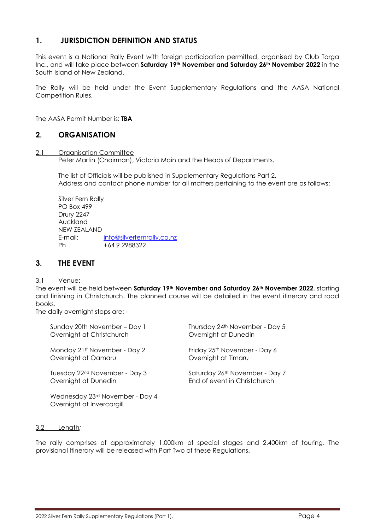#### **1. JURISDICTION DEFINITION AND STATUS**

This event is a National Rally Event with foreign participation permitted, organised by Club Targa Inc., and will take place between **Saturday 19th November and Saturday 26th November 2022** in the South Island of New Zealand.

The Rally will be held under the Event Supplementary Regulations and the AASA National Competition Rules,

The AASA Permit Number is: **TBA**

#### **2. ORGANISATION**

#### 2.1 Organisation Committee

Peter Martin (Chairman), Victoria Main and the Heads of Departments.

The list of Officials will be published in Supplementary Regulations Part 2. Address and contact phone number for all matters pertaining to the event are as follows:

Silver Fern Rally PO Box 499 Drury 2247 Auckland NEW ZEALAND E-mail: [info@silverfernrally.co.nz](mailto:info@silverfernrally.co.nz) Ph +64 9 2988322

#### **3. THE EVENT**

3.1 Venue:

The event will be held between **Saturday 19th November and Saturday 26th November 2022**, starting and finishing in Christchurch. The planned course will be detailed in the event itinerary and road books.

The daily overnight stops are: -

| Sunday 20th November – Day 1                                 | Thursday 24th November - Day 5           |
|--------------------------------------------------------------|------------------------------------------|
| Overnight at Christchurch                                    | Overnight at Dunedin                     |
| Monday 21st November - Day 2                                 | Friday 25 <sup>th</sup> November - Day 6 |
| Overnight at Oamaru                                          | Overnight at Timaru                      |
| Tuesday 22 <sup>nd</sup> November - Day 3                    | Saturday 26th November - Day 7           |
| Overnight at Dunedin                                         | End of event in Christchurch             |
| Wednesday 23rd November - Day 4<br>Overnight at Invercargill |                                          |

#### 3.2 Length*:*

The rally comprises of approximately 1,000km of special stages and 2,400km of touring. The provisional Itinerary will be released with Part Two of these Regulations.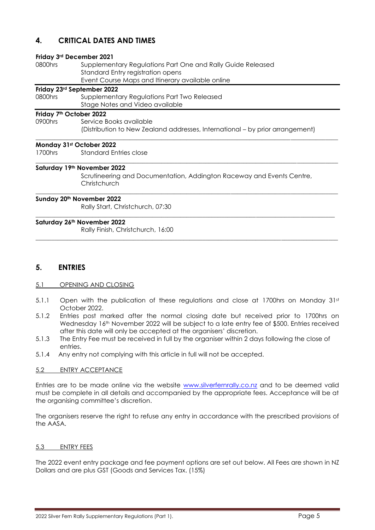#### **4. CRITICAL DATES AND TIMES**

#### **Friday 3rd December 2021**

| 0800hrs | Supplementary Regulations Part One and Rally Guide Released |
|---------|-------------------------------------------------------------|
|         | Standard Entry registration opens                           |
|         | Event Course Maps and Itinerary available online            |

#### **Friday 23rd September 2022**

| 0800hrs | Supplementary Regulations Part Two Released |
|---------|---------------------------------------------|
|         | Stage Notes and Video available             |

#### **Friday 7th October 2022**

0900hrs Service Books available (Distribution to New Zealand addresses, International – by prior arrangement)

 $\_$  ,  $\_$  ,  $\_$  ,  $\_$  ,  $\_$  ,  $\_$  ,  $\_$  ,  $\_$  ,  $\_$  ,  $\_$  ,  $\_$  ,  $\_$  ,  $\_$  ,  $\_$  ,  $\_$  ,  $\_$  ,  $\_$  ,  $\_$  ,  $\_$  ,  $\_$  ,  $\_$  ,  $\_$  ,  $\_$  ,  $\_$  ,  $\_$  ,  $\_$  ,  $\_$  ,  $\_$  ,  $\_$  ,  $\_$  ,  $\_$  ,  $\_$  ,  $\_$  ,  $\_$  ,  $\_$  ,  $\_$  ,  $\_$  ,

 $\_$  ,  $\_$  ,  $\_$  ,  $\_$  ,  $\_$  ,  $\_$  ,  $\_$  ,  $\_$  ,  $\_$  ,  $\_$  ,  $\_$  ,  $\_$  ,  $\_$  ,  $\_$  ,  $\_$  ,  $\_$  ,  $\_$  ,  $\_$  ,  $\_$  ,  $\_$  ,  $\_$  ,  $\_$  ,  $\_$  ,  $\_$  ,  $\_$  ,  $\_$  ,  $\_$  ,  $\_$  ,  $\_$  ,  $\_$  ,  $\_$  ,  $\_$  ,  $\_$  ,  $\_$  ,  $\_$  ,  $\_$  ,  $\_$  ,

\_\_\_\_\_\_\_\_\_\_\_\_\_\_\_\_\_\_\_\_\_\_\_\_\_\_\_\_\_\_\_\_\_\_\_\_\_\_\_\_\_\_\_\_\_\_\_\_\_\_\_\_\_\_\_\_\_\_\_\_\_\_\_\_\_\_\_\_\_\_\_\_\_\_\_\_\_\_\_\_\_\_\_\_\_\_\_\_\_\_\_\_\_\_\_\_

\_\_\_\_\_\_\_\_\_\_\_\_\_\_\_\_\_\_\_\_\_\_\_\_\_\_\_\_\_\_\_\_\_\_\_\_\_\_\_\_\_\_\_\_\_\_\_\_\_\_\_\_\_\_\_\_\_\_\_\_\_\_\_\_\_\_\_\_\_\_\_\_\_\_\_\_\_\_\_\_\_\_\_\_\_\_\_\_\_\_\_\_\_\_\_

\_\_\_\_\_\_\_\_\_\_\_\_\_\_\_\_\_\_\_\_\_\_\_\_\_\_\_\_\_\_\_\_\_\_\_\_\_\_\_\_\_\_\_\_\_\_\_\_\_\_\_\_\_\_\_\_\_\_\_\_\_\_\_\_\_\_\_\_\_\_\_\_\_\_\_\_\_\_\_\_\_\_\_\_\_\_\_\_\_\_\_\_\_\_\_\_

#### **Monday 31st October 2022**

1700hrs Standard Entries close

#### **Saturday 19th November 2022**

Scrutineering and Documentation, Addington Raceway and Events Centre, **Christchurch** 

#### **Sunday 20th November 2022**

Rally Start, Christchurch, 07:30

#### **Saturday 26th November 2022**

Rally Finish, Christchurch, 16:00

#### **5. ENTRIES**

#### 5.1 OPENING AND CLOSING

- 5.1.1 Open with the publication of these regulations and close at 1700hrs on Monday 31st October 2022.
- 5.1.2 Entries post marked after the normal closing date but received prior to 1700hrs on Wednesday 16th November 2022 will be subject to a late entry fee of \$500. Entries received after this date will only be accepted at the organisers' discretion.
- 5.1.3 The Entry Fee must be received in full by the organiser within 2 days following the close of entries.
- 5.1.4 Any entry not complying with this article in full will not be accepted.

#### 5.2 ENTRY ACCEPTANCE

Entries are to be made online via the website [www.silverfernrally.co.nz](http://www.silverfernrally.co.nz/) and to be deemed valid must be complete in all details and accompanied by the appropriate fees. Acceptance will be at the organising committee's discretion.

The organisers reserve the right to refuse any entry in accordance with the prescribed provisions of the AASA.

#### 5.3 ENTRY FEES

The 2022 event entry package and fee payment options are set out below. All Fees are shown in NZ Dollars and are plus GST (Goods and Services Tax. (15%)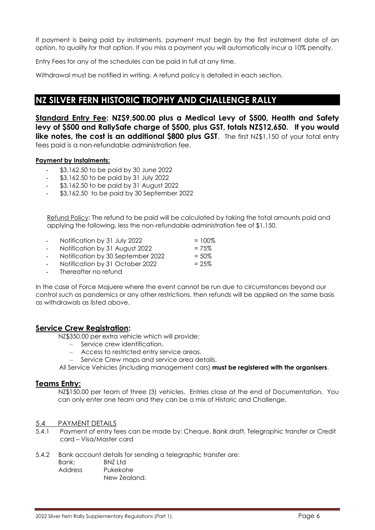If payment is being paid by instalments, payment must begin by the first instalment date of an option, to qualify for that option. If you miss a payment you will automatically incur a 10% penalty.

Entry Fees for any of the schedules can be paid in full at any time.

Withdrawal must be notified in writing. A refund policy is detailed in each section.

### **NZ SILVER FERN HISTORIC TROPHY AND CHALLENGE RALLY**

**Standard Entry Fee: NZ\$9,500.00 plus a Medical Levy of \$500, Health and Safety levy of \$500 and RallySafe charge of \$500, plus GST, totals NZ\$12,650. If you would like notes, the cost is an additional \$800 plus GST.** The first NZ\$1,150 of your total entry fees paid is a non-refundable administration fee.

#### **Payment by Instalments:**

- \$3,162.50 to be paid by 30 June 2022
- \$3,162.50 to be paid by 31 July 2022
- \$3,162.50 to be paid by 31 August 2022
- \$3,162.50 to be paid by 30 September 2022

Refund Policy: The refund to be paid will be calculated by taking the total amounts paid and applying the following, less the non-refundable administration fee of \$1,150.

| -      | Notification by 31 July 2022   | $=100\%$ |
|--------|--------------------------------|----------|
| $\sim$ | Notification by 31 August 2022 | $= 75\%$ |

- Notification by 30 September 2022  $= 50\%$
- Notification by 31 October 2022  $= 25\%$
- Thereafter no refund

In the case of Force Majuere where the event cannot be run due to circumstances beyond our control such as pandemics or any other restrictions, then refunds will be applied on the same basis as withdrawals as listed above.

#### **Service Crew Registration:**

NZ\$350.00 per extra vehicle which will provide:

- Service crew identification.
- Access to restricted entry service areas.
- Service Crew maps and service area details.

All Service Vehicles (including management cars) **must be registered with the organisers**.

#### **Teams Entry:**

NZ\$150.00 per team of three (3) vehicles. Entries close at the end of Documentation. You can only enter one team and they can be a mix of Historic and Challenge.

#### 5.4 PAYMENT DETAILS

5.4.1 Payment of entry fees can be made by: Cheque, Bank draft, Telegraphic transfer or Credit card – Visa/Master card

5.4.2 Bank account details for sending a telegraphic transfer are:

- Bank: BNZ Ltd
- Address Pukekohe New Zealand.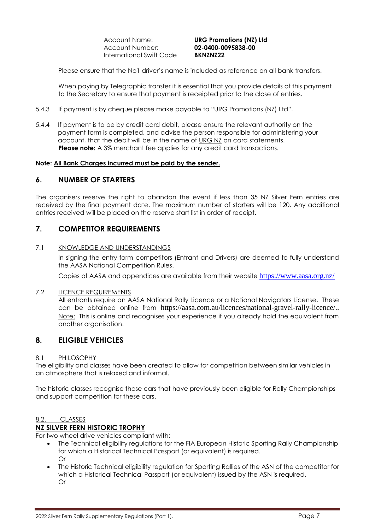Account Name: **URG Promotions (NZ) Ltd** Account Number: **02-0400-0095838-00** International Swift Code **BKNZNZ22**

Please ensure that the No1 driver's name is included as reference on all bank transfers.

When paying by Telegraphic transfer it is essential that you provide details of this payment to the Secretary to ensure that payment is receipted prior to the close of entries.

- 5.4.3 If payment is by cheque please make payable to "URG Promotions (NZ) Ltd".
- 5.4.4 If payment is to be by credit card debit, please ensure the relevant authority on the payment form is completed, and advise the person responsible for administering your account, that the debit will be in the name of URG NZ on card statements. **Please note:** A 3% merchant fee applies for any credit card transactions.

#### **Note: All Bank Charges incurred must be paid by the sender.**

#### **6. NUMBER OF STARTERS**

The organisers reserve the right to abandon the event if less than 35 NZ Silver Fern entries are received by the final payment date. The maximum number of starters will be 120. Any additional entries received will be placed on the reserve start list in order of receipt.

#### **7. COMPETITOR REQUIREMENTS**

#### 7.1 KNOWLEDGE AND UNDERSTANDINGS

In signing the entry form competitors (Entrant and Drivers) are deemed to fully understand the AASA National Competition Rules.

Copies of AASA and appendices are available from their website <https://www.aasa.org.nz/>

#### 7.2 LICENCE REQUIREMENTS

All entrants require an AASA National Rally Licence or a National Navigators License. These can be obtained online from https://aasa.com.au/licences/national-gravel-rally-licence/.. Note: This is online and recognises your experience if you already hold the equivalent from another organisation.

#### **8. ELIGIBLE VEHICLES**

#### 8.1 PHILOSOPHY

The eligibility and classes have been created to allow for competition between similar vehicles in an atmosphere that is relaxed and informal.

The historic classes recognise those cars that have previously been eligible for Rally Championships and support competition for these cars.

#### 8.2. CLASSES

#### **NZ SILVER FERN HISTORIC TROPHY**

For two wheel drive vehicles compliant with:

- The Technical eligibility regulations for the FIA European Historic Sporting Rally Championship for which a Historical Technical Passport (or equivalent) is required. Or
- The Historic Technical eligibility regulation for Sporting Rallies of the ASN of the competitor for which a Historical Technical Passport (or equivalent) issued by the ASN is required. Or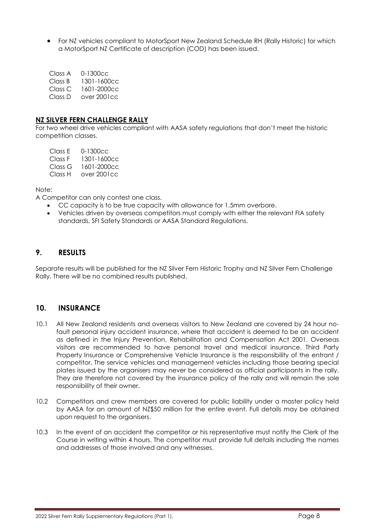For NZ vehicles compliant to MotorSport New Zealand Schedule RH (Rally Historic) for which a MotorSport NZ Certificate of description (COD) has been issued.

| Class A | $0 - 1300 < c$ |
|---------|----------------|
| Class B | 1301-1600cc    |
| Class C | 1601-2000cc    |
| Class D | over 2001cc    |

#### **NZ SILVER FERN CHALLENGE RALLY**

For two wheel drive vehicles compliant with AASA safety regulations that don't meet the historic competition classes.

Class E 0-1300cc Class F 1301-1600cc Class G 1601-2000cc Class H over 2001cc

Note:

A Competitor can only contest one class.

- CC capacity is to be true capacity with allowance for 1.5mm overbore.
- Vehicles driven by overseas competitors must comply with either the relevant FIA safety standards, SFI Safety Standards or AASA Standard Regulations.

#### **9. RESULTS**

Separate results will be published for the NZ Silver Fern Historic Trophy and NZ Silver Fern Challenge Rally. There will be no combined results published.

#### **10. INSURANCE**

- 10.1 All New Zealand residents and overseas visitors to New Zealand are covered by 24 hour nofault personal injury accident insurance, where that accident is deemed to be an accident as defined in the Injury Prevention, Rehabilitation and Compensation Act 2001. Overseas visitors are recommended to have personal travel and medical insurance. Third Party Property Insurance or Comprehensive Vehicle Insurance is the responsibility of the entrant / competitor. The service vehicles and management vehicles including those bearing special plates issued by the organisers may never be considered as official participants in the rally. They are therefore not covered by the insurance policy of the rally and will remain the sole responsibility of their owner.
- 10.2 Competitors and crew members are covered for public liability under a master policy held by AASA for an amount of NZ\$50 million for the entire event. Full details may be obtained upon request to the organisers.
- 10.3 In the event of an accident the competitor or his representative must notify the Clerk of the Course in writing within 4 hours. The competitor must provide full details including the names and addresses of those involved and any witnesses.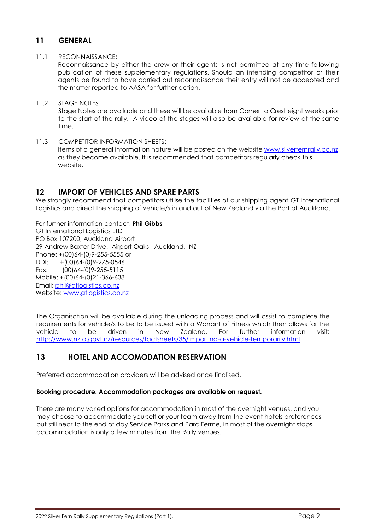#### **11 GENERAL**

#### 11.1 RECONNAISSANCE:

Reconnaissance by either the crew or their agents is not permitted at any time following publication of these supplementary regulations. Should an intending competitor or their agents be found to have carried out reconnaissance their entry will not be accepted and the matter reported to AASA for further action.

#### 11.2 STAGE NOTES

Stage Notes are available and these will be available from Corner to Crest eight weeks prior to the start of the rally. A video of the stages will also be available for review at the same time.

#### 11.3 COMPETITOR INFORMATION SHEETS:

Items of a general information nature will be posted on the website [www.silverfernrally.co.nz](http://www.silverfernrally.co.nz/) as they become available. It is recommended that competitors regularly check this website.

#### **12 IMPORT OF VEHICLES AND SPARE PARTS**

We strongly recommend that competitors utilise the facilities of our shipping agent GT International Logistics and direct the shipping of vehicle/s in and out of New Zealand via the Port of Auckland.

#### For further information contact: **Phil Gibbs**

GT International Logistics LTD PO Box 107200, Auckland Airport 29 Andrew Baxter Drive, Airport Oaks, Auckland, NZ Phone: +(00)64-(0)9-255-5555 or DDI: +(00)64-(0)9-275-0546 Fax:  $+(00)64-(0)9-255-5115$ Mobile: +(00)64-(0)21-366-638 Email: [phil@gtlogistics.co.nz](mailto:phil@gtlogistics.co.nz) Website: [www.gtlogistics.co.nz](http://www.gtlogistics.co.nz/)

The Organisation will be available during the unloading process and will assist to complete the requirements for vehicle/s to be to be issued with a Warrant of Fitness which then allows for the vehicle to be driven in New Zealand. For further information visit: <http://www.nzta.govt.nz/resources/factsheets/35/importing-a-vehicle-temporarily.html>

#### **13 HOTEL AND ACCOMODATION RESERVATION**

Preferred accommodation providers will be advised once finalised.

#### **Booking procedure. Accommodation packages are available on request.**

There are many varied options for accommodation in most of the overnight venues, and you may choose to accommodate yourself or your team away from the event hotels preferences, but still near to the end of day Service Parks and Parc Ferme, in most of the overnight stops accommodation is only a few minutes from the Rally venues.